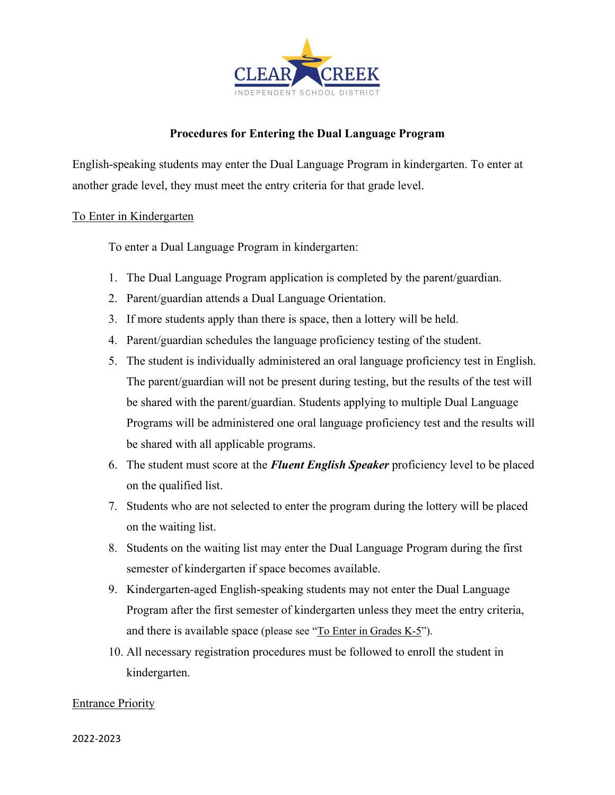

### **Procedures for Entering the Dual Language Program**

English-speaking students may enter the Dual Language Program in kindergarten. To enter at another grade level, they must meet the entry criteria for that grade level.

### To Enter in Kindergarten

To enter a Dual Language Program in kindergarten:

- 1. The Dual Language Program application is completed by the parent/guardian.
- 2. Parent/guardian attends a Dual Language Orientation.
- 3. If more students apply than there is space, then a lottery will be held.
- 4. Parent/guardian schedules the language proficiency testing of the student.
- 5. The student is individually administered an oral language proficiency test in English. The parent/guardian will not be present during testing, but the results of the test will be shared with the parent/guardian. Students applying to multiple Dual Language Programs will be administered one oral language proficiency test and the results will be shared with all applicable programs.
- 6. The student must score at the *Fluent English Speaker* proficiency level to be placed on the qualified list.
- 7. Students who are not selected to enter the program during the lottery will be placed on the waiting list.
- 8. Students on the waiting list may enter the Dual Language Program during the first semester of kindergarten if space becomes available.
- 9. Kindergarten-aged English-speaking students may not enter the Dual Language Program after the first semester of kindergarten unless they meet the entry criteria, and there is available space (please see "To Enter in Grades K-5").
- 10. All necessary registration procedures must be followed to enroll the student in kindergarten.

### Entrance Priority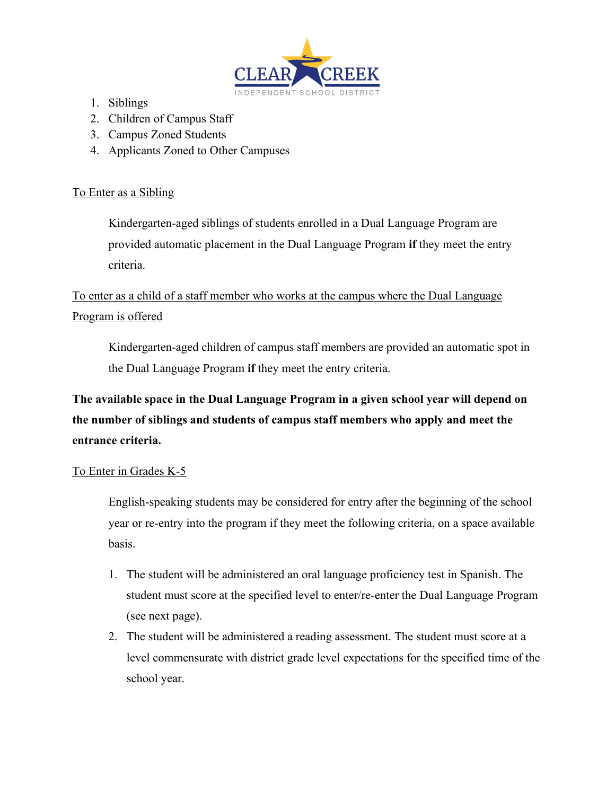

- 1. Siblings
- 2. Children of Campus Staff
- 3. Campus Zoned Students
- 4. Applicants Zoned to Other Campuses

## To Enter as a Sibling

Kindergarten-aged siblings of students enrolled in a Dual Language Program are provided automatic placement in the Dual Language Program **if** they meet the entry criteria.

# To enter as a child of a staff member who works at the campus where the Dual Language Program is offered

Kindergarten-aged children of campus staff members are provided an automatic spot in the Dual Language Program **if** they meet the entry criteria.

**The available space in the Dual Language Program in a given school year will depend on the number of siblings and students of campus staff members who apply and meet the entrance criteria.** 

# To Enter in Grades K-5

English-speaking students may be considered for entry after the beginning of the school year or re-entry into the program if they meet the following criteria, on a space available basis.

- 1. The student will be administered an oral language proficiency test in Spanish. The student must score at the specified level to enter/re-enter the Dual Language Program (see next page).
- 2. The student will be administered a reading assessment. The student must score at a level commensurate with district grade level expectations for the specified time of the school year.